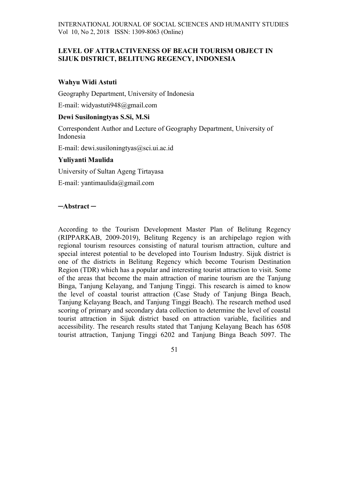# LEVEL OF ATTRACTIVENESS OF BEACH TOURISM OBJECT IN SIJUK DISTRICT, BELITUNG REGENCY, INDONESIA

## Wahyu Widi Astuti

Geography Department, University of Indonesia

E-mail: widyastuti948@gmail.com

# Dewi Susiloningtyas S.Si, M.Si

Correspondent Author and Lecture of Geography Department, University of Indonesia

E-mail: dewi.susiloningtyas@sci.ui.ac.id

# Yuliyanti Maulida

University of Sultan Ageng Tirtayasa

E-mail: yantimaulida@gmail.com

# ─Abstract ─

According to the Tourism Development Master Plan of Belitung Regency (RIPPARKAB, 2009-2019), Belitung Regency is an archipelago region with regional tourism resources consisting of natural tourism attraction, culture and special interest potential to be developed into Tourism Industry. Sijuk district is one of the districts in Belitung Regency which become Tourism Destination Region (TDR) which has a popular and interesting tourist attraction to visit. Some of the areas that become the main attraction of marine tourism are the Tanjung Binga, Tanjung Kelayang, and Tanjung Tinggi. This research is aimed to know the level of coastal tourist attraction (Case Study of Tanjung Binga Beach, Tanjung Kelayang Beach, and Tanjung Tinggi Beach). The research method used scoring of primary and secondary data collection to determine the level of coastal tourist attraction in Sijuk district based on attraction variable, facilities and accessibility. The research results stated that Tanjung Kelayang Beach has 6508 tourist attraction, Tanjung Tinggi 6202 and Tanjung Binga Beach 5097. The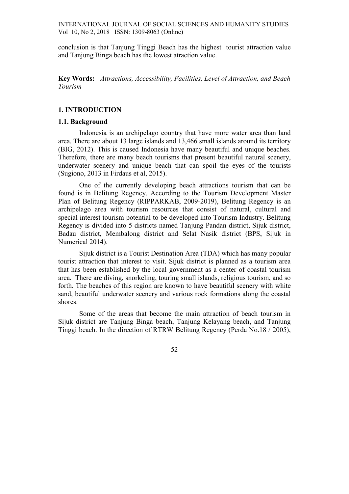conclusion is that Tanjung Tinggi Beach has the highest tourist attraction value and Tanjung Binga beach has the lowest atraction value.

Key Words: Attractions, Accessibility, Facilities, Level of Attraction, and Beach Tourism

### 1. INTRODUCTION

#### 1.1. Background

Indonesia is an archipelago country that have more water area than land area. There are about 13 large islands and 13,466 small islands around its territory (BIG, 2012). This is caused Indonesia have many beautiful and unique beaches. Therefore, there are many beach tourisms that present beautiful natural scenery, underwater scenery and unique beach that can spoil the eyes of the tourists (Sugiono, 2013 in Firdaus et al, 2015).

One of the currently developing beach attractions tourism that can be found is in Belitung Regency. According to the Tourism Development Master Plan of Belitung Regency (RIPPARKAB, 2009-2019), Belitung Regency is an archipelago area with tourism resources that consist of natural, cultural and special interest tourism potential to be developed into Tourism Industry. Belitung Regency is divided into 5 districts named Tanjung Pandan district, Sijuk district, Badau district, Membalong district and Selat Nasik district (BPS, Sijuk in Numerical 2014).

Sijuk district is a Tourist Destination Area (TDA) which has many popular tourist attraction that interest to visit. Sijuk district is planned as a tourism area that has been established by the local government as a center of coastal tourism area. There are diving, snorkeling, touring small islands, religious tourism, and so forth. The beaches of this region are known to have beautiful scenery with white sand, beautiful underwater scenery and various rock formations along the coastal shores.

Some of the areas that become the main attraction of beach tourism in Sijuk district are Tanjung Binga beach, Tanjung Kelayang beach, and Tanjung Tinggi beach. In the direction of RTRW Belitung Regency (Perda No.18 / 2005),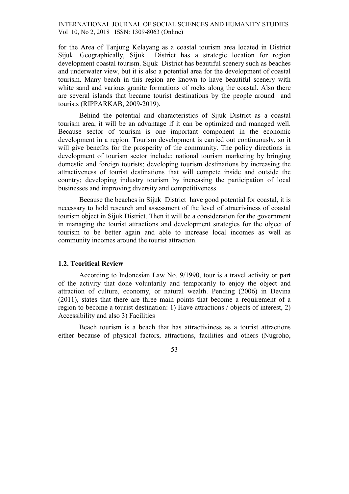for the Area of Tanjung Kelayang as a coastal tourism area located in District Sijuk. Geographically, Sijuk District has a strategic location for region development coastal tourism. Sijuk District has beautiful scenery such as beaches and underwater view, but it is also a potential area for the development of coastal tourism. Many beach in this region are known to have beautiful scenery with white sand and various granite formations of rocks along the coastal. Also there are several islands that became tourist destinations by the people around and tourists (RIPPARKAB, 2009-2019).

Behind the potential and characteristics of Sijuk District as a coastal tourism area, it will be an advantage if it can be optimized and managed well. Because sector of tourism is one important component in the economic development in a region. Tourism development is carried out continuously, so it will give benefits for the prosperity of the community. The policy directions in development of tourism sector include: national tourism marketing by bringing domestic and foreign tourists; developing tourism destinations by increasing the attractiveness of tourist destinations that will compete inside and outside the country; developing industry tourism by increasing the participation of local businesses and improving diversity and competitiveness.

Because the beaches in Sijuk District have good potential for coastal, it is necessary to hold research and assessment of the level of atracriviness of coastal tourism object in Sijuk District. Then it will be a consideration for the government in managing the tourist attractions and development strategies for the object of tourism to be better again and able to increase local incomes as well as community incomes around the tourist attraction.

## 1.2. Teoritical Review

According to Indonesian Law No. 9/1990, tour is a travel activity or part of the activity that done voluntarily and temporarily to enjoy the object and attraction of culture, economy, or natural wealth. Pending (2006) in Devina (2011), states that there are three main points that become a requirement of a region to become a tourist destination: 1) Have attractions / objects of interest, 2) Accessibility and also 3) Facilities

Beach tourism is a beach that has attractiviness as a tourist attractions either because of physical factors, attractions, facilities and others (Nugroho,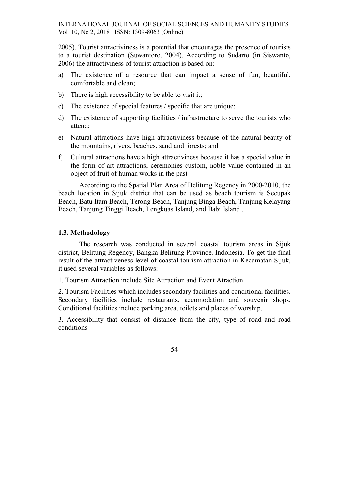2005). Tourist attractiviness is a potential that encourages the presence of tourists to a tourist destination (Suwantoro, 2004). According to Sudarto (in Siswanto, 2006) the attractiviness of tourist attraction is based on:

- a) The existence of a resource that can impact a sense of fun, beautiful, comfortable and clean;
- b) There is high accessibility to be able to visit it;
- c) The existence of special features / specific that are unique;
- d) The existence of supporting facilities / infrastructure to serve the tourists who attend;
- e) Natural attractions have high attractiviness because of the natural beauty of the mountains, rivers, beaches, sand and forests; and
- f) Cultural attractions have a high attractiviness because it has a special value in the form of art attractions, ceremonies custom, noble value contained in an object of fruit of human works in the past

According to the Spatial Plan Area of Belitung Regency in 2000-2010, the beach location in Sijuk district that can be used as beach tourism is Secupak Beach, Batu Itam Beach, Terong Beach, Tanjung Binga Beach, Tanjung Kelayang Beach, Tanjung Tinggi Beach, Lengkuas Island, and Babi Island .

#### 1.3. Methodology

The research was conducted in several coastal tourism areas in Sijuk district, Belitung Regency, Bangka Belitung Province, Indonesia. To get the final result of the attractiveness level of coastal tourism attraction in Kecamatan Sijuk, it used several variables as follows:

1. Tourism Attraction include Site Attraction and Event Atraction

2. Tourism Facilities which includes secondary facilities and conditional facilities. Secondary facilities include restaurants, accomodation and souvenir shops. Conditional facilities include parking area, toilets and places of worship.

3. Accessibility that consist of distance from the city, type of road and road conditions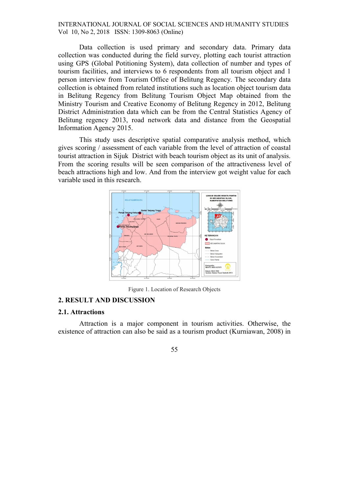Data collection is used primary and secondary data. Primary data collection was conducted during the field survey, plotting each tourist attraction using GPS (Global Potitioning System), data collection of number and types of tourism facilities, and interviews to 6 respondents from all tourism object and 1 person interview from Tourism Office of Belitung Regency. The secondary data collection is obtained from related institutions such as location object tourism data in Belitung Regency from Belitung Tourism Object Map obtained from the Ministry Tourism and Creative Economy of Belitung Regency in 2012, Belitung District Administration data which can be from the Central Statistics Agency of Belitung regency 2013, road network data and distance from the Geospatial Information Agency 2015.

This study uses descriptive spatial comparative analysis method, which gives scoring / assessment of each variable from the level of attraction of coastal tourist attraction in Sijuk District with beach tourism object as its unit of analysis. From the scoring results will be seen comparison of the attractiveness level of beach attractions high and low. And from the interview got weight value for each variable used in this research.



Figure 1. Location of Research Objects

# 2. RESULT AND DISCUSSION

## 2.1. Attractions

Attraction is a major component in tourism activities. Otherwise, the existence of attraction can also be said as a tourism product (Kurniawan, 2008) in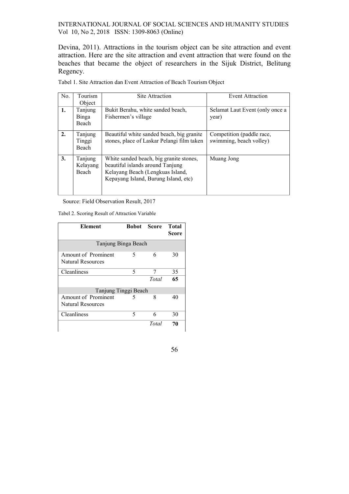Devina, 2011). Attractions in the tourism object can be site attraction and event attraction. Here are the site attraction and event attraction that were found on the beaches that became the object of researchers in the Sijuk District, Belitung Regency.

| No. | Tourism<br>Object            | Site Attraction                                                                                                                                         | Event Attraction                                     |
|-----|------------------------------|---------------------------------------------------------------------------------------------------------------------------------------------------------|------------------------------------------------------|
| 1.  | Tanjung<br>Binga<br>Beach    | Bukit Berahu, white sanded beach,<br>Fishermen's village                                                                                                | Selamat Laut Event (only once a<br>year)             |
| 2.  | Tanjung<br>Tinggi<br>Beach   | Beautiful white sanded beach, big granite<br>stones, place of Laskar Pelangi film taken                                                                 | Competition (paddle race,<br>swimming, beach volley) |
| 3.  | Tanjung<br>Kelayang<br>Beach | White sanded beach, big granite stones,<br>beautiful islands around Tanjung<br>Kelayang Beach (Lengkuas Island,<br>Kepayang Island, Burung Island, etc) | Muang Jong                                           |

Tabel 1. Site Attraction dan Event Attraction of Beach Tourism Object

Source: Field Observation Result, 2017

Tabel 2. Scoring Result of Attraction Variable

| Element                                  | <b>Bobot</b> Score |       | <b>Total</b><br><b>Score</b> |  |  |  |
|------------------------------------------|--------------------|-------|------------------------------|--|--|--|
| Tanjung Binga Beach                      |                    |       |                              |  |  |  |
| Amount of Prominent<br>Natural Resources | 5                  | 6     | 30                           |  |  |  |
| Cleanliness                              | 5                  |       | 35                           |  |  |  |
|                                          |                    | Total | 65                           |  |  |  |
| Tanjung Tinggi Beach                     |                    |       |                              |  |  |  |
| Amount of Prominent                      |                    | 8     | 40                           |  |  |  |
| Natural Resources                        |                    |       |                              |  |  |  |
| Cleanliness                              | 5                  | 6     | 30                           |  |  |  |
|                                          |                    | Total | 70                           |  |  |  |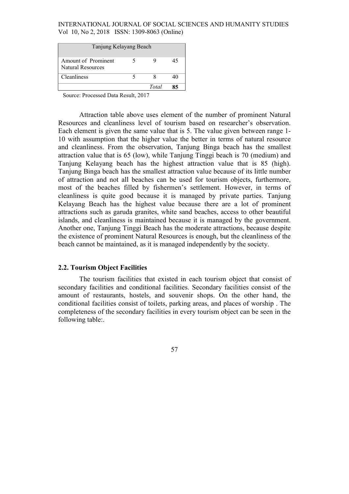| Tanjung Kelayang Beach                          |  |       |    |  |  |
|-------------------------------------------------|--|-------|----|--|--|
| Amount of Prominent<br><b>Natural Resources</b> |  |       | 45 |  |  |
| Cleanliness                                     |  |       | 40 |  |  |
|                                                 |  | Total | 85 |  |  |

Source: Processed Data Result, 2017

Attraction table above uses element of the number of prominent Natural Resources and cleanliness level of tourism based on researcher's observation. Each element is given the same value that is 5. The value given between range 1- 10 with assumption that the higher value the better in terms of natural resource and cleanliness. From the observation, Tanjung Binga beach has the smallest attraction value that is 65 (low), while Tanjung Tinggi beach is 70 (medium) and Tanjung Kelayang beach has the highest attraction value that is 85 (high). Tanjung Binga beach has the smallest attraction value because of its little number of attraction and not all beaches can be used for tourism objects, furthermore, most of the beaches filled by fishermen's settlement. However, in terms of cleanliness is quite good because it is managed by private parties. Tanjung Kelayang Beach has the highest value because there are a lot of prominent attractions such as garuda granites, white sand beaches, access to other beautiful islands, and cleanliness is maintained because it is managed by the government. Another one, Tanjung Tinggi Beach has the moderate attractions, because despite the existence of prominent Natural Resources is enough, but the cleanliness of the beach cannot be maintained, as it is managed independently by the society.

## 2.2. Tourism Object Facilities

The tourism facilities that existed in each tourism object that consist of secondary facilities and conditional facilities. Secondary facilities consist of the amount of restaurants, hostels, and souvenir shops. On the other hand, the conditional facilities consist of toilets, parking areas, and places of worship . The completeness of the secondary facilities in every tourism object can be seen in the following table:.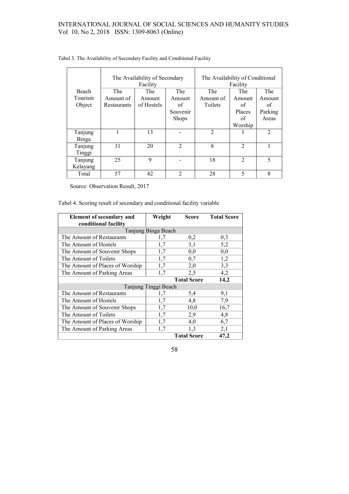|                     | The Availability of Secondary<br>Facility |            |                | The Availability of Conditional<br>Facility |                             |                |
|---------------------|-------------------------------------------|------------|----------------|---------------------------------------------|-----------------------------|----------------|
| Beach               | The                                       | The        | The            | The                                         | The                         | The            |
| Tourism             | Amount of                                 | Amount     | Amount         | Amount of                                   | Amount                      | Amount         |
| Object              | Restaurants                               | of Hostels | of             | Toilets                                     | of                          | of             |
|                     |                                           |            | Souvenir       |                                             | Places                      | Parking        |
|                     |                                           |            | <b>Shops</b>   |                                             | of                          | Areas          |
|                     |                                           |            |                |                                             | Worship                     |                |
| Tanjung<br>Binga    |                                           | 13         |                | $\overline{2}$                              |                             | $\overline{2}$ |
| Tanjung<br>Tinggi   | 31                                        | 20         | $\mathfrak{D}$ | 8                                           | $\mathfrak{D}$              |                |
| Tanjung<br>Kelayang | 25                                        | 9          |                | 18                                          | $\mathcal{D}_{\mathcal{L}}$ | 5              |
| Total               | 57                                        | 42         | 2              | 28                                          | 5                           | 8              |

Tabel 3. The Availability of Secondary Facility and Conditional Facility

Source: Observation Result, 2017

Tabel 4. Scoring result of secondary and conditional facility variable

| <b>Element of secondary and</b> | Weight | Score              | <b>Total Score</b> |  |  |
|---------------------------------|--------|--------------------|--------------------|--|--|
| conditional facility            |        |                    |                    |  |  |
| Tanjung Binga Beach             |        |                    |                    |  |  |
| The Amount of Restaurants       | 1,7    | 0,2                | 0,3                |  |  |
| The Amount of Hostels           | 1,7    | 3,1                | 5,2                |  |  |
| The Amount of Souvenir Shops    | 1,7    | 0,0                | 0,0                |  |  |
| The Amount of Toilets           | 1,7    | 0,7                | 1,2                |  |  |
| The Amount of Places of Worship | 1,7    | 2,0                | 3,3                |  |  |
| The Amount of Parking Areas     | 1,7    | 2,5                | 4,2                |  |  |
|                                 |        | <b>Total Score</b> | 14,2               |  |  |
| Tanjung Tinggi Beach            |        |                    |                    |  |  |
| The Amount of Restaurants       | 1,7    | 5,4                | 9,1                |  |  |
| The Amount of Hostels           | 1,7    | 4,8                | 7,9                |  |  |
| The Amount of Souvenir Shops    | 1,7    | 10,0               | 16,7               |  |  |
| The Amount of Toilets           | 1,7    | 2,9                | 4,8                |  |  |
| The Amount of Places of Worship | 1,7    | 4,0                | 6,7                |  |  |
| The Amount of Parking Areas     | 1,7    | 1,3                | 2,1                |  |  |
|                                 |        | <b>Total Score</b> | 47,2               |  |  |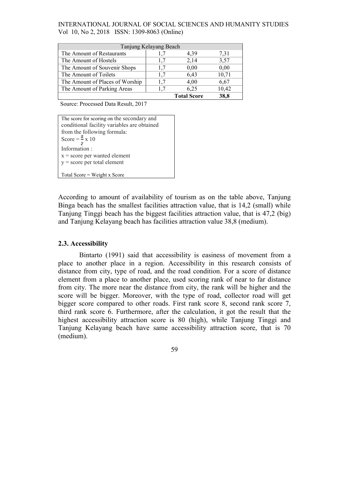| Tanjung Kelayang Beach          |     |                    |       |  |  |  |
|---------------------------------|-----|--------------------|-------|--|--|--|
| The Amount of Restaurants       |     | 4,39               | 7,31  |  |  |  |
| The Amount of Hostels           | 1.7 | 2,14               | 3,57  |  |  |  |
| The Amount of Souvenir Shops    | 1.7 | 0.00               | 0.00  |  |  |  |
| The Amount of Toilets           | 1.7 | 6,43               | 10,71 |  |  |  |
| The Amount of Places of Worship | 1.7 | 4,00               | 6,67  |  |  |  |
| The Amount of Parking Areas     | 1.7 | 6.25               | 10,42 |  |  |  |
|                                 |     | <b>Total Score</b> | 38.8  |  |  |  |

Source: Processed Data Result, 2017

The score for scoring on the secondary and conditional facility variables are obtained from the following formula: Score =  $\frac{y}{y}$  x 10 Information : x = score per wanted element  $y = score per total element$ 

Total Score = Weight x Score

According to amount of availability of tourism as on the table above, Tanjung Binga beach has the smallest facilities attraction value, that is 14.2 (small) while Tanjung Tinggi beach has the biggest facilities attraction value, that is 47,2 (big) and Tanjung Kelayang beach has facilities attraction value 38,8 (medium).

#### 2.3. Accessibility

Bintarto (1991) said that accessibility is easiness of movement from a place to another place in a region. Accessibility in this research consists of distance from city, type of road, and the road condition. For a score of distance element from a place to another place, used scoring rank of near to far distance from city. The more near the distance from city, the rank will be higher and the score will be bigger. Moreover, with the type of road, collector road will get bigger score compared to other roads. First rank score 8, second rank score 7, third rank score 6. Furthermore, after the calculation, it got the result that the highest accessibility attraction score is 80 (high), while Tanjung Tinggi and Tanjung Kelayang beach have same accessibility attraction score, that is 70 (medium).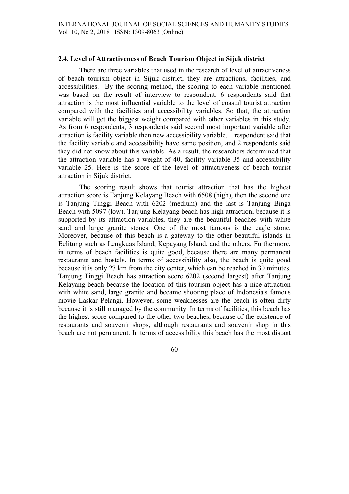### 2.4. Level of Attractiveness of Beach Tourism Object in Sijuk district

There are three variables that used in the research of level of attractiveness of beach tourism object in Sijuk district, they are attractions, facilities, and accessibilities. By the scoring method, the scoring to each variable mentioned was based on the result of interview to respondent. 6 respondents said that attraction is the most influential variable to the level of coastal tourist attraction compared with the facilities and accessibility variables. So that, the attraction variable will get the biggest weight compared with other variables in this study. As from 6 respondents, 3 respondents said second most important variable after attraction is facility variable then new accessibility variable. 1 respondent said that the facility variable and accessibility have same position, and 2 respondents said they did not know about this variable. As a result, the researchers determined that the attraction variable has a weight of 40, facility variable 35 and accessibility variable 25. Here is the score of the level of attractiveness of beach tourist attraction in Sijuk district.

The scoring result shows that tourist attraction that has the highest attraction score is Tanjung Kelayang Beach with 6508 (high), then the second one is Tanjung Tinggi Beach with 6202 (medium) and the last is Tanjung Binga Beach with 5097 (low). Tanjung Kelayang beach has high attraction, because it is supported by its attraction variables, they are the beautiful beaches with white sand and large granite stones. One of the most famous is the eagle stone. Moreover, because of this beach is a gateway to the other beautiful islands in Belitung such as Lengkuas Island, Kepayang Island, and the others. Furthermore, in terms of beach facilities is quite good, because there are many permanent restaurants and hostels. In terms of accessibility also, the beach is quite good because it is only 27 km from the city center, which can be reached in 30 minutes. Tanjung Tinggi Beach has attraction score 6202 (second largest) after Tanjung Kelayang beach because the location of this tourism object has a nice attraction with white sand, large granite and became shooting place of Indonesia's famous movie Laskar Pelangi. However, some weaknesses are the beach is often dirty because it is still managed by the community. In terms of facilities, this beach has the highest score compared to the other two beaches, because of the existence of restaurants and souvenir shops, although restaurants and souvenir shop in this beach are not permanent. In terms of accessibility this beach has the most distant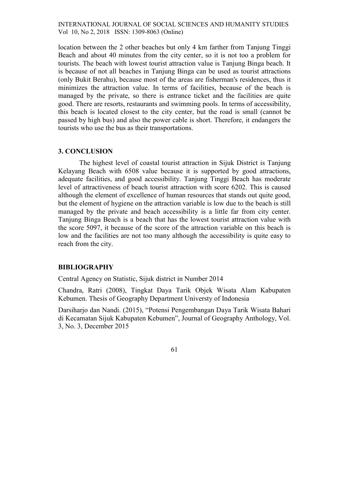location between the 2 other beaches but only 4 km farther from Tanjung Tinggi Beach and about 40 minutes from the city center, so it is not too a problem for tourists. The beach with lowest tourist attraction value is Tanjung Binga beach. It is because of not all beaches in Tanjung Binga can be used as tourist attractions (only Bukit Berahu), because most of the areas are fisherman's residences, thus it minimizes the attraction value. In terms of facilities, because of the beach is managed by the private, so there is entrance ticket and the facilities are quite good. There are resorts, restaurants and swimming pools. In terms of accessibility, this beach is located closest to the city center, but the road is small (cannot be passed by high bus) and also the power cable is short. Therefore, it endangers the tourists who use the bus as their transportations.

## 3. CONCLUSION

The highest level of coastal tourist attraction in Sijuk District is Tanjung Kelayang Beach with 6508 value because it is supported by good attractions, adequate facilities, and good accessibility. Tanjung Tinggi Beach has moderate level of attractiveness of beach tourist attraction with score 6202. This is caused although the element of excellence of human resources that stands out quite good, but the element of hygiene on the attraction variable is low due to the beach is still managed by the private and beach accessibility is a little far from city center. Tanjung Binga Beach is a beach that has the lowest tourist attraction value with the score 5097, it because of the score of the attraction variable on this beach is low and the facilities are not too many although the accessibility is quite easy to reach from the city.

# BIBLIOGRAPHY

Central Agency on Statistic, Sijuk district in Number 2014

Chandra, Ratri (2008), Tingkat Daya Tarik Objek Wisata Alam Kabupaten Kebumen. Thesis of Geography Department Universty of Indonesia

Darsiharjo dan Nandi. (2015), "Potensi Pengembangan Daya Tarik Wisata Bahari di Kecamatan Sijuk Kabupaten Kebumen", Journal of Geography Anthology, Vol. 3, No. 3, December 2015